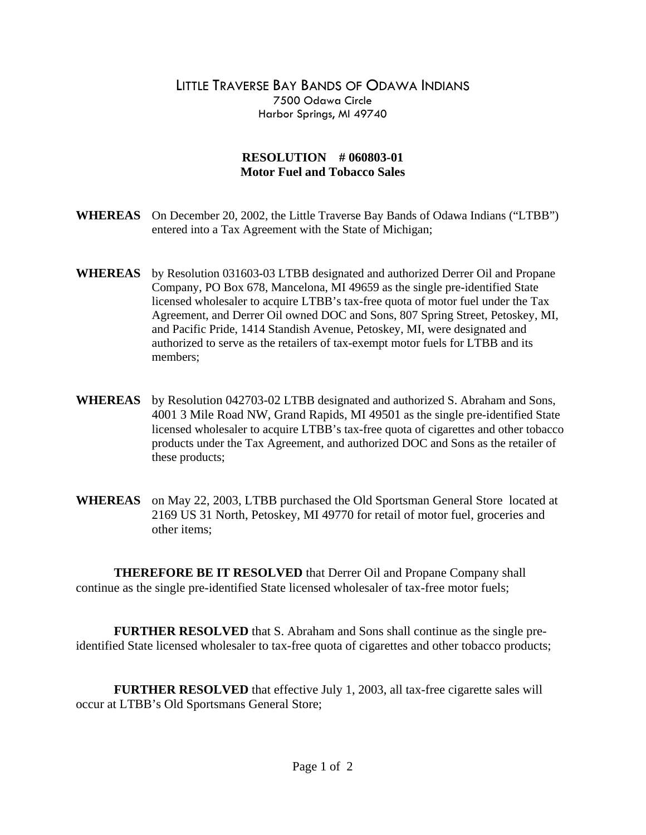## LITTLE TRAVERSE BAY BANDS OF ODAWA INDIANS 7500 Odawa Circle Harbor Springs, MI 49740

## **RESOLUTION # 060803-01 Motor Fuel and Tobacco Sales**

- **WHEREAS** On December 20, 2002, the Little Traverse Bay Bands of Odawa Indians ("LTBB") entered into a Tax Agreement with the State of Michigan;
- **WHEREAS** by Resolution 031603-03 LTBB designated and authorized Derrer Oil and Propane Company, PO Box 678, Mancelona, MI 49659 as the single pre-identified State licensed wholesaler to acquire LTBB's tax-free quota of motor fuel under the Tax Agreement, and Derrer Oil owned DOC and Sons, 807 Spring Street, Petoskey, MI, and Pacific Pride, 1414 Standish Avenue, Petoskey, MI, were designated and authorized to serve as the retailers of tax-exempt motor fuels for LTBB and its members;
- **WHEREAS** by Resolution 042703-02 LTBB designated and authorized S. Abraham and Sons, 4001 3 Mile Road NW, Grand Rapids, MI 49501 as the single pre-identified State licensed wholesaler to acquire LTBB's tax-free quota of cigarettes and other tobacco products under the Tax Agreement, and authorized DOC and Sons as the retailer of these products;
- **WHEREAS** on May 22, 2003, LTBB purchased the Old Sportsman General Store located at 2169 US 31 North, Petoskey, MI 49770 for retail of motor fuel, groceries and other items;

 **THEREFORE BE IT RESOLVED** that Derrer Oil and Propane Company shall continue as the single pre-identified State licensed wholesaler of tax-free motor fuels;

**FURTHER RESOLVED** that S. Abraham and Sons shall continue as the single preidentified State licensed wholesaler to tax-free quota of cigarettes and other tobacco products;

**FURTHER RESOLVED** that effective July 1, 2003, all tax-free cigarette sales will occur at LTBB's Old Sportsmans General Store;